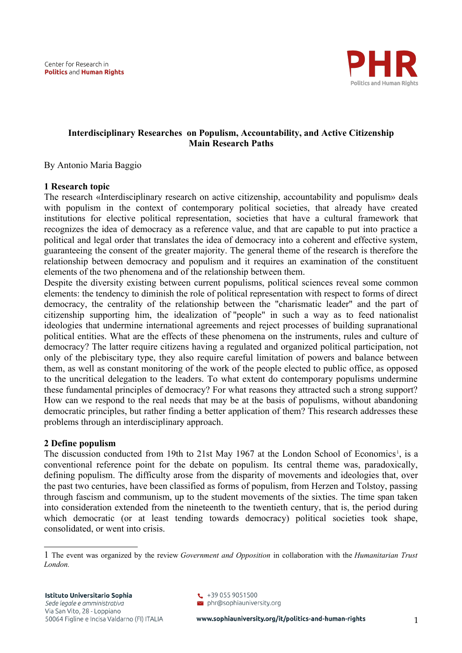

# **Interdisciplinary Researches on Populism, Accountability, and Active Citizenship Main Research Paths**

By Antonio Maria Baggio

## **1 Research topic**

The research «Interdisciplinary research on active citizenship, accountability and populism» deals with populism in the context of contemporary political societies, that already have created institutions for elective political representation, societies that have a cultural framework that recognizes the idea of democracy as a reference value, and that are capable to put into practice a political and legal order that translates the idea of democracy into a coherent and effective system, guaranteeing the consent of the greater majority. The general theme of the research is therefore the relationship between democracy and populism and it requires an examination of the constituent elements of the two phenomena and of the relationship between them.

Despite the diversity existing between current populisms, political sciences reveal some common elements: the tendency to diminish the role of political representation with respect to forms of direct democracy, the centrality of the relationship between the "charismatic leader" and the part of citizenship supporting him, the idealization of "people" in such a way as to feed nationalist ideologies that undermine international agreements and reject processes of building supranational political entities. What are the effects of these phenomena on the instruments, rules and culture of democracy? The latter require citizens having a regulated and organized political participation, not only of the plebiscitary type, they also require careful limitation of powers and balance between them, as well as constant monitoring of the work of the people elected to public office, as opposed to the uncritical delegation to the leaders. To what extent do contemporary populisms undermine these fundamental principles of democracy? For what reasons they attracted such a strong support? How can we respond to the real needs that may be at the basis of populisms, without abandoning democratic principles, but rather finding a better application of them? This research addresses these problems through an interdisciplinary approach.

## **2 Define populism**

The discussion conducted from [1](#page-0-0)9th to 21st May 1967 at the London School of Economics<sup>1</sup>, is a conventional reference point for the debate on populism. Its central theme was, paradoxically, defining populism. The difficulty arose from the disparity of movements and ideologies that, over the past two centuries, have been classified as forms of populism, from Herzen and Tolstoy, passing through fascism and communism, up to the student movements of the sixties. The time span taken into consideration extended from the nineteenth to the twentieth century, that is, the period during which democratic (or at least tending towards democracy) political societies took shape, consolidated, or went into crisis.

<span id="page-0-0"></span><sup>1&</sup>lt;sup>T</sup>he event was organized by the review *Government and Opposition* in collaboration with the *Humanitarian Trust London.*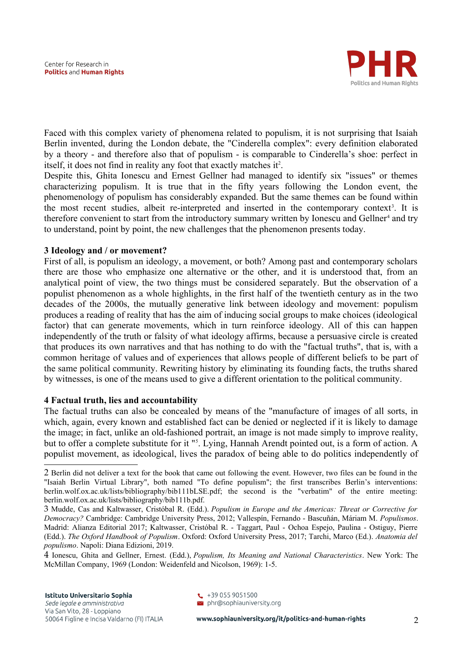

Faced with this complex variety of phenomena related to populism, it is not surprising that Isaiah Berlin invented, during the London debate, the "Cinderella complex": every definition elaborated by a theory - and therefore also that of populism - is comparable to Cinderella's shoe: perfect in itself, it does not find in reality any foot that exactly matches it<sup>[2](#page-1-0)</sup>.

Despite this, Ghita Ionescu and Ernest Gellner had managed to identify six "issues" or themes characterizing populism. It is true that in the fifty years following the London event, the phenomenology of populism has considerably expanded. But the same themes can be found within the most recent studies, albeit re-interpreted and inserted in the contemporary context<sup>[3](#page-1-1)</sup>. It is therefore convenient to start from the introductory summary written by Ionescu and Gellner<sup>[4](#page-1-2)</sup> and try to understand, point by point, the new challenges that the phenomenon presents today.

## **3 Ideology and / or movement?**

First of all, is populism an ideology, a movement, or both? Among past and contemporary scholars there are those who emphasize one alternative or the other, and it is understood that, from an analytical point of view, the two things must be considered separately. But the observation of a populist phenomenon as a whole highlights, in the first half of the twentieth century as in the two decades of the 2000s, the mutually generative link between ideology and movement: populism produces a reading of reality that has the aim of inducing social groups to make choices (ideological factor) that can generate movements, which in turn reinforce ideology. All of this can happen independently of the truth or falsity of what ideology affirms, because a persuasive circle is created that produces its own narratives and that has nothing to do with the "factual truths", that is, with a common heritage of values and of experiences that allows people of different beliefs to be part of the same political community. Rewriting history by eliminating its founding facts, the truths shared by witnesses, is one of the means used to give a different orientation to the political community.

## **4 Factual truth, lies and accountability**

The factual truths can also be concealed by means of the "manufacture of images of all sorts, in which, again, every known and established fact can be denied or neglected if it is likely to damage the image; in fact, unlike an old-fashioned portrait, an image is not made simply to improve reality, but to offer a complete substitute for it "[5](#page-2-0) . Lying, Hannah Arendt pointed out, is a form of action. A populist movement, as ideological, lives the paradox of being able to do politics independently of

<span id="page-1-2"></span>4 Ionescu, Ghita and Gellner, Ernest. (Edd.), *Populism, Its Meaning and National Characteristics*. New York: The McMillan Company, 1969 (London: Weidenfeld and Nicolson, 1969): 1-5.

<span id="page-1-0"></span><sup>2</sup> Berlin did not deliver a text for the book that came out following the event. However, two files can be found in the "Isaiah Berlin Virtual Library", both named "To define populism"; the first transcribes Berlin's interventions: berlin.wolf.ox.ac.uk/lists/bibliography/bib111bLSE.pdf; the second is the "verbatim" of the entire meeting: berlin.wolf.ox.ac.uk/lists/bibliography/bib111b.pdf.

<span id="page-1-1"></span><sup>3</sup> Mudde, Cas and Kaltwasser, Cristóbal R. (Edd.). *Populism in Europe and the Americas: Threat or Corrective for Democracy?* Cambridge: Cambridge University Press, 2012; Vallespín, Fernando - Bascuñán, Máriam M. *Populismos*. Madrid: Alianza Editorial 2017; Kaltwasser, Cristóbal R. - Taggart, Paul - Ochoa Espejo, Paulina - Ostiguy, Pierre (Edd.). *The Oxford Handbook of Populism*. Oxford: Oxford University Press, 2017; Tarchi, Marco (Ed.). *Anatomia del populismo*. Napoli: Diana Edizioni, 2019.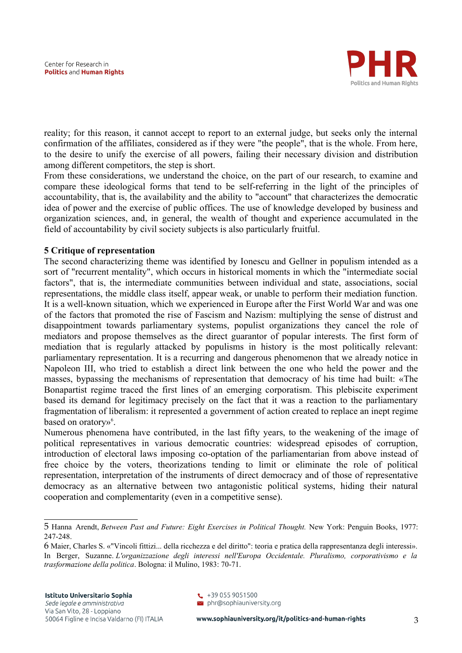

reality; for this reason, it cannot accept to report to an external judge, but seeks only the internal confirmation of the affiliates, considered as if they were "the people", that is the whole. From here, to the desire to unify the exercise of all powers, failing their necessary division and distribution among different competitors, the step is short.

From these considerations, we understand the choice, on the part of our research, to examine and compare these ideological forms that tend to be self-referring in the light of the principles of accountability, that is, the availability and the ability to "account" that characterizes the democratic idea of power and the exercise of public offices. The use of knowledge developed by business and organization sciences, and, in general, the wealth of thought and experience accumulated in the field of accountability by civil society subjects is also particularly fruitful.

## **5 Critique of representation**

The second characterizing theme was identified by Ionescu and Gellner in populism intended as a sort of "recurrent mentality", which occurs in historical moments in which the "intermediate social factors", that is, the intermediate communities between individual and state, associations, social representations, the middle class itself, appear weak, or unable to perform their mediation function. It is a well-known situation, which we experienced in Europe after the First World War and was one of the factors that promoted the rise of Fascism and Nazism: multiplying the sense of distrust and disappointment towards parliamentary systems, populist organizations they cancel the role of mediators and propose themselves as the direct guarantor of popular interests. The first form of mediation that is regularly attacked by populisms in history is the most politically relevant: parliamentary representation. It is a recurring and dangerous phenomenon that we already notice in Napoleon III, who tried to establish a direct link between the one who held the power and the masses, bypassing the mechanisms of representation that democracy of his time had built: «The Bonapartist regime traced the first lines of an emerging corporatism. This plebiscite experiment based its demand for legitimacy precisely on the fact that it was a reaction to the parliamentary fragmentation of liberalism: it represented a government of action created to replace an inept regime based on oratory»<sup>[6](#page-2-1)</sup>.

Numerous phenomena have contributed, in the last fifty years, to the weakening of the image of political representatives in various democratic countries: widespread episodes of corruption, introduction of electoral laws imposing co-optation of the parliamentarian from above instead of free choice by the voters, theorizations tending to limit or eliminate the role of political representation, interpretation of the instruments of direct democracy and of those of representative democracy as an alternative between two antagonistic political systems, hiding their natural cooperation and complementarity (even in a competitive sense).

 $\begin{array}{c} \text{+39} \ 055 \ 9051500 \end{array}$  $\geq$  phr@sophiauniversity.org

<span id="page-2-0"></span><sup>5</sup> Hanna Arendt, *Between Past and Future: Eight Exercises in Political Thought.* New York: Penguin Books, 1977: 247-248.

<span id="page-2-1"></span><sup>6</sup> Maier, Charles S. «"Vincoli fittizi... della ricchezza e del diritto": teoria e pratica della rappresentanza degli interessi». In Berger, Suzanne. *L'organizzazione degli interessi nell'Europa Occidentale. Pluralismo, corporativismo e la trasformazione della politica*. Bologna: il Mulino, 1983: 70-71.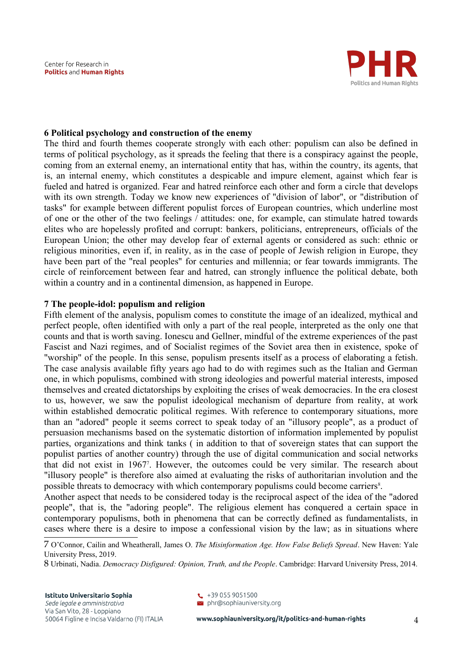

#### **6 Political psychology and construction of the enemy**

The third and fourth themes cooperate strongly with each other: populism can also be defined in terms of political psychology, as it spreads the feeling that there is a conspiracy against the people, coming from an external enemy, an international entity that has, within the country, its agents, that is, an internal enemy, which constitutes a despicable and impure element, against which fear is fueled and hatred is organized. Fear and hatred reinforce each other and form a circle that develops with its own strength. Today we know new experiences of "division of labor", or "distribution of tasks" for example between different populist forces of European countries, which underline most of one or the other of the two feelings / attitudes: one, for example, can stimulate hatred towards elites who are hopelessly profited and corrupt: bankers, politicians, entrepreneurs, officials of the European Union; the other may develop fear of external agents or considered as such: ethnic or religious minorities, even if, in reality, as in the case of people of Jewish religion in Europe, they have been part of the "real peoples" for centuries and millennia; or fear towards immigrants. The circle of reinforcement between fear and hatred, can strongly influence the political debate, both within a country and in a continental dimension, as happened in Europe.

#### **7 The people-idol: populism and religion**

Fifth element of the analysis, populism comes to constitute the image of an idealized, mythical and perfect people, often identified with only a part of the real people, interpreted as the only one that counts and that is worth saving. Ionescu and Gellner, mindful of the extreme experiences of the past Fascist and Nazi regimes, and of Socialist regimes of the Soviet area then in existence, spoke of "worship" of the people. In this sense, populism presents itself as a process of elaborating a fetish. The case analysis available fifty years ago had to do with regimes such as the Italian and German one, in which populisms, combined with strong ideologies and powerful material interests, imposed themselves and created dictatorships by exploiting the crises of weak democracies. In the era closest to us, however, we saw the populist ideological mechanism of departure from reality, at work within established democratic political regimes. With reference to contemporary situations, more than an "adored" people it seems correct to speak today of an "illusory people", as a product of persuasion mechanisms based on the systematic distortion of information implemented by populist parties, organizations and think tanks ( in addition to that of sovereign states that can support the populist parties of another country) through the use of digital communication and social networks that did not exist in 196[7](#page-3-0)<sup>7</sup>. However, the outcomes could be very similar. The research about "illusory people" is therefore also aimed at evaluating the risks of authoritarian involution and the possible threats to democracy with which contemporary populisms could become carriers<sup>[8](#page-3-1)</sup>.

Another aspect that needs to be considered today is the reciprocal aspect of the idea of the "adored people", that is, the "adoring people". The religious element has conquered a certain space in contemporary populisms, both in phenomena that can be correctly defined as fundamentalists, in cases where there is a desire to impose a confessional vision by the law; as in situations where

<span id="page-3-0"></span><sup>7</sup> O'Connor, Cailin and Wheatherall, James O. *The Misinformation Age. How False Beliefs Spread*. New Haven: Yale University Press, 2019.

<span id="page-3-1"></span><sup>8</sup> Urbinati, Nadia. *Democracy Disfigured: Opinion, Truth, and the People*. Cambridge: Harvard University Press, 2014.